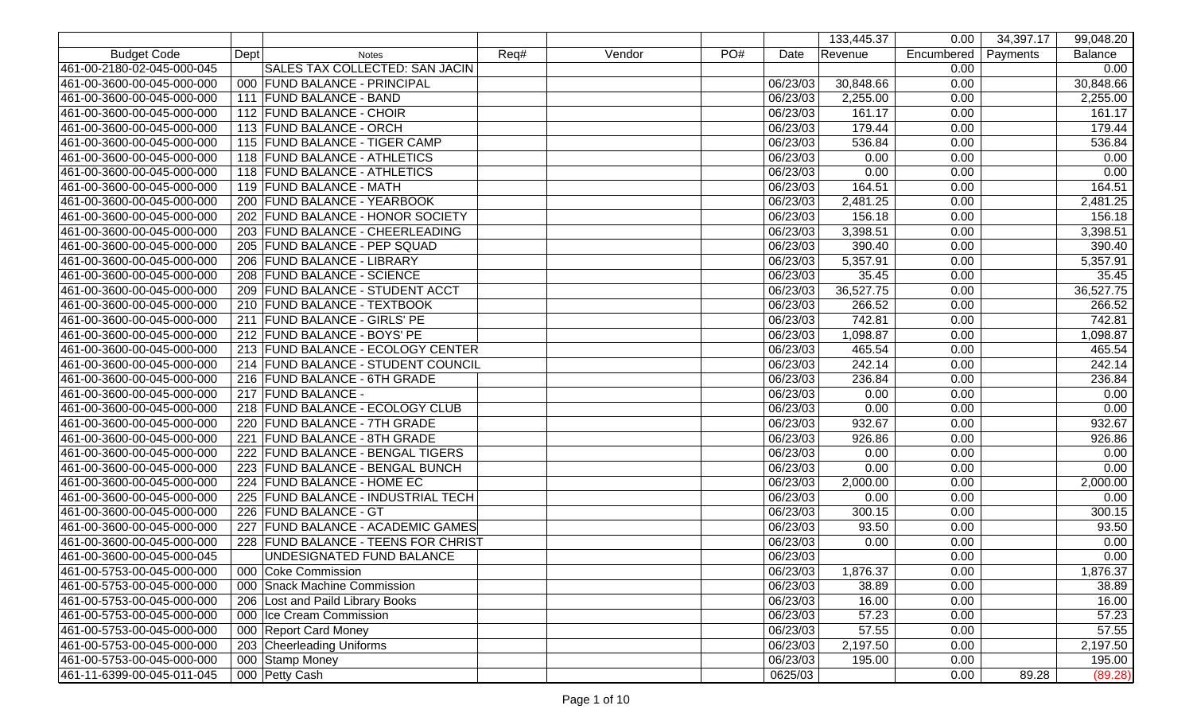|                            |                                     |      |        |     |          | 133,445.37            | 0.00       | 34,397.17 | 99,048.20      |
|----------------------------|-------------------------------------|------|--------|-----|----------|-----------------------|------------|-----------|----------------|
| <b>Budget Code</b>         | Dept<br><b>Notes</b>                | Req# | Vendor | PO# | Date     | Revenue               | Encumbered | Payments  | <b>Balance</b> |
| 461-00-2180-02-045-000-045 | SALES TAX COLLECTED: SAN JACIN      |      |        |     |          |                       | 0.00       |           | 0.00           |
| 461-00-3600-00-045-000-000 | 000 FUND BALANCE - PRINCIPAL        |      |        |     | 06/23/03 | 30,848.66             | 0.00       |           | 30,848.66      |
| 461-00-3600-00-045-000-000 | 111 FUND BALANCE - BAND             |      |        |     | 06/23/03 | 2,255.00              | 0.00       |           | 2,255.00       |
| 461-00-3600-00-045-000-000 | 112 FUND BALANCE - CHOIR            |      |        |     | 06/23/03 | 161.17                | 0.00       |           | 161.17         |
| 461-00-3600-00-045-000-000 | 113 FUND BALANCE - ORCH             |      |        |     | 06/23/03 | 179.44                | 0.00       |           | 179.44         |
| 461-00-3600-00-045-000-000 | 115 FUND BALANCE - TIGER CAMP       |      |        |     | 06/23/03 | 536.84                | 0.00       |           | 536.84         |
| 461-00-3600-00-045-000-000 | 118 FUND BALANCE - ATHLETICS        |      |        |     | 06/23/03 | 0.00                  | 0.00       |           | 0.00           |
| 461-00-3600-00-045-000-000 | 118 FUND BALANCE - ATHLETICS        |      |        |     | 06/23/03 | 0.00                  | 0.00       |           | 0.00           |
| 461-00-3600-00-045-000-000 | 119 FUND BALANCE - MATH             |      |        |     | 06/23/03 | 164.51                | 0.00       |           | 164.51         |
| 461-00-3600-00-045-000-000 | 200 FUND BALANCE - YEARBOOK         |      |        |     | 06/23/03 | 2,481.25              | 0.00       |           | 2,481.25       |
| 461-00-3600-00-045-000-000 | 202 FUND BALANCE - HONOR SOCIETY    |      |        |     | 06/23/03 | 156.18                | 0.00       |           | 156.18         |
| 461-00-3600-00-045-000-000 | 203 FUND BALANCE - CHEERLEADING     |      |        |     | 06/23/03 | 3,398.51              | 0.00       |           | 3,398.51       |
| 461-00-3600-00-045-000-000 | 205 FUND BALANCE - PEP SQUAD        |      |        |     | 06/23/03 | 390.40                | 0.00       |           | 390.40         |
| 461-00-3600-00-045-000-000 | 206 FUND BALANCE - LIBRARY          |      |        |     | 06/23/03 | 5,357.91              | 0.00       |           | 5,357.91       |
| 461-00-3600-00-045-000-000 | 208 FUND BALANCE - SCIENCE          |      |        |     | 06/23/03 | 35.45                 | 0.00       |           | 35.45          |
| 461-00-3600-00-045-000-000 | 209 FUND BALANCE - STUDENT ACCT     |      |        |     | 06/23/03 | 36,527.75             | 0.00       |           | 36,527.75      |
| 461-00-3600-00-045-000-000 | 210 FUND BALANCE - TEXTBOOK         |      |        |     | 06/23/03 | 266.52                | 0.00       |           | 266.52         |
| 461-00-3600-00-045-000-000 | 211 FUND BALANCE - GIRLS' PE        |      |        |     | 06/23/03 | 742.81                | 0.00       |           | 742.81         |
| 461-00-3600-00-045-000-000 | 212 FUND BALANCE - BOYS' PE         |      |        |     | 06/23/03 | 1,098.87              | 0.00       |           | 1,098.87       |
| 461-00-3600-00-045-000-000 | 213 FUND BALANCE - ECOLOGY CENTER   |      |        |     | 06/23/03 | 465.54                | 0.00       |           | 465.54         |
| 461-00-3600-00-045-000-000 | 214 FUND BALANCE - STUDENT COUNCIL  |      |        |     | 06/23/03 | 242.14                | 0.00       |           | 242.14         |
| 461-00-3600-00-045-000-000 | 216 FUND BALANCE - 6TH GRADE        |      |        |     | 06/23/03 | 236.84                | 0.00       |           | 236.84         |
| 461-00-3600-00-045-000-000 | 217 FUND BALANCE -                  |      |        |     | 06/23/03 | 0.00                  | 0.00       |           | 0.00           |
| 461-00-3600-00-045-000-000 | 218 FUND BALANCE - ECOLOGY CLUB     |      |        |     | 06/23/03 | 0.00                  | 0.00       |           | 0.00           |
| 461-00-3600-00-045-000-000 | 220 FUND BALANCE - 7TH GRADE        |      |        |     | 06/23/03 | 932.67                | 0.00       |           | 932.67         |
| 461-00-3600-00-045-000-000 | 221 FUND BALANCE - 8TH GRADE        |      |        |     | 06/23/03 | 926.86                | 0.00       |           | 926.86         |
| 461-00-3600-00-045-000-000 | 222 FUND BALANCE - BENGAL TIGERS    |      |        |     | 06/23/03 | 0.00                  | 0.00       |           | 0.00           |
| 461-00-3600-00-045-000-000 | 223 FUND BALANCE - BENGAL BUNCH     |      |        |     | 06/23/03 | 0.00                  | 0.00       |           | 0.00           |
| 461-00-3600-00-045-000-000 | 224 FUND BALANCE - HOME EC          |      |        |     | 06/23/03 | 2,000.00              | 0.00       |           | 2,000.00       |
| 461-00-3600-00-045-000-000 | 225 FUND BALANCE - INDUSTRIAL TECH  |      |        |     | 06/23/03 | 0.00                  | 0.00       |           | 0.00           |
| 461-00-3600-00-045-000-000 | 226 FUND BALANCE - GT               |      |        |     | 06/23/03 | 300.15                | 0.00       |           | 300.15         |
| 461-00-3600-00-045-000-000 | 227 FUND BALANCE - ACADEMIC GAMES   |      |        |     | 06/23/03 | 93.50                 | 0.00       |           | 93.50          |
| 461-00-3600-00-045-000-000 | 228 FUND BALANCE - TEENS FOR CHRIST |      |        |     | 06/23/03 | 0.00                  | 0.00       |           | 0.00           |
| 461-00-3600-00-045-000-045 | UNDESIGNATED FUND BALANCE           |      |        |     | 06/23/03 |                       | 0.00       |           | 0.00           |
| 461-00-5753-00-045-000-000 | 000 Coke Commission                 |      |        |     | 06/23/03 | 1,876.37              | 0.00       |           | 1,876.37       |
| 461-00-5753-00-045-000-000 | 000 Snack Machine Commission        |      |        |     | 06/23/03 | 38.89                 | 0.00       |           | 38.89          |
| 461-00-5753-00-045-000-000 | 206 Lost and Paild Library Books    |      |        |     | 06/23/03 | 16.00                 | 0.00       |           | 16.00          |
| 461-00-5753-00-045-000-000 | 000 Ice Cream Commission            |      |        |     | 06/23/03 | 57.23                 | 0.00       |           | 57.23          |
| 461-00-5753-00-045-000-000 | 000 Report Card Money               |      |        |     | 06/23/03 | 57.55                 | 0.00       |           | 57.55          |
| 461-00-5753-00-045-000-000 | 203 Cheerleading Uniforms           |      |        |     | 06/23/03 | $\overline{2,}197.50$ | 0.00       |           | 2,197.50       |
| 461-00-5753-00-045-000-000 | 000 Stamp Money                     |      |        |     | 06/23/03 | 195.00                | 0.00       |           | 195.00         |
| 461-11-6399-00-045-011-045 | 000 Petty Cash                      |      |        |     | 0625/03  |                       | 0.00       | 89.28     | (89.28)        |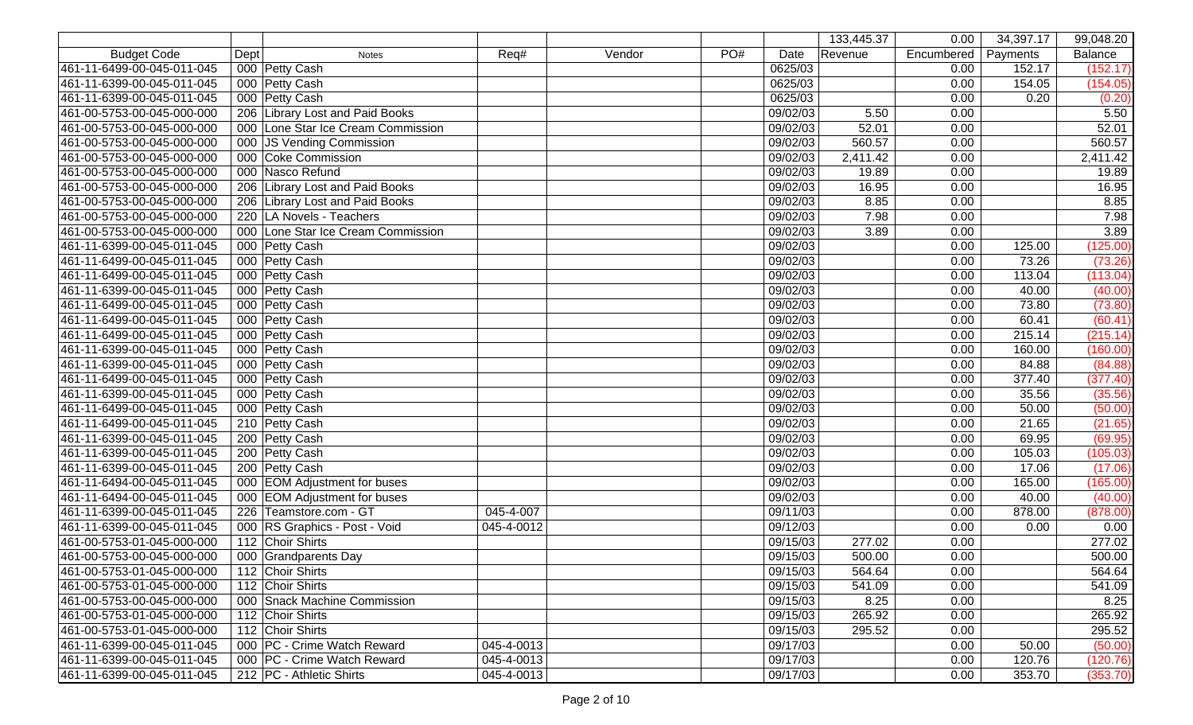|                            |      |                                    |            |        |     |          | 133,445.37 | 0.00       | 34,397.17 | 99,048.20      |
|----------------------------|------|------------------------------------|------------|--------|-----|----------|------------|------------|-----------|----------------|
| <b>Budget Code</b>         | Dept | <b>Notes</b>                       | Req#       | Vendor | PO# | Date     | Revenue    | Encumbered | Payments  | <b>Balance</b> |
| 461-11-6499-00-045-011-045 |      | 000 Petty Cash                     |            |        |     | 0625/03  |            | 0.00       | 152.17    | (152.17)       |
| 461-11-6399-00-045-011-045 |      | 000 Petty Cash                     |            |        |     | 0625/03  |            | 0.00       | 154.05    | (154.05)       |
| 461-11-6399-00-045-011-045 |      | 000 Petty Cash                     |            |        |     | 0625/03  |            | 0.00       | 0.20      | (0.20)         |
| 461-00-5753-00-045-000-000 |      | 206 Library Lost and Paid Books    |            |        |     | 09/02/03 | 5.50       | 0.00       |           | 5.50           |
| 461-00-5753-00-045-000-000 |      | 000 Lone Star Ice Cream Commission |            |        |     | 09/02/03 | 52.01      | 0.00       |           | 52.01          |
| 461-00-5753-00-045-000-000 |      | 000 JS Vending Commission          |            |        |     | 09/02/03 | 560.57     | 0.00       |           | 560.57         |
| 461-00-5753-00-045-000-000 |      | 000 Coke Commission                |            |        |     | 09/02/03 | 2,411.42   | 0.00       |           | 2,411.42       |
| 461-00-5753-00-045-000-000 |      | 000 Nasco Refund                   |            |        |     | 09/02/03 | 19.89      | 0.00       |           | 19.89          |
| 461-00-5753-00-045-000-000 |      | 206 Library Lost and Paid Books    |            |        |     | 09/02/03 | 16.95      | 0.00       |           | 16.95          |
| 461-00-5753-00-045-000-000 |      | 206 Library Lost and Paid Books    |            |        |     | 09/02/03 | 8.85       | 0.00       |           | 8.85           |
| 461-00-5753-00-045-000-000 |      | 220   LA Novels - Teachers         |            |        |     | 09/02/03 | 7.98       | 0.00       |           | 7.98           |
| 461-00-5753-00-045-000-000 |      | 000 Lone Star Ice Cream Commission |            |        |     | 09/02/03 | 3.89       | 0.00       |           | 3.89           |
| 461-11-6399-00-045-011-045 |      | 000 Petty Cash                     |            |        |     | 09/02/03 |            | 0.00       | 125.00    | (125.00)       |
| 461-11-6499-00-045-011-045 |      | 000 Petty Cash                     |            |        |     | 09/02/03 |            | 0.00       | 73.26     | (73.26)        |
| 461-11-6499-00-045-011-045 |      | 000 Petty Cash                     |            |        |     | 09/02/03 |            | 0.00       | 113.04    | (113.04)       |
| 461-11-6399-00-045-011-045 |      | 000 Petty Cash                     |            |        |     | 09/02/03 |            | 0.00       | 40.00     | (40.00)        |
| 461-11-6499-00-045-011-045 |      | 000 Petty Cash                     |            |        |     | 09/02/03 |            | 0.00       | 73.80     | (73.80)        |
| 461-11-6499-00-045-011-045 |      | 000 Petty Cash                     |            |        |     | 09/02/03 |            | 0.00       | 60.41     | (60.41)        |
| 461-11-6499-00-045-011-045 |      | 000 Petty Cash                     |            |        |     | 09/02/03 |            | 0.00       | 215.14    | (215.14)       |
| 461-11-6399-00-045-011-045 |      | 000 Petty Cash                     |            |        |     | 09/02/03 |            | 0.00       | 160.00    | (160.00)       |
| 461-11-6399-00-045-011-045 |      | 000 Petty Cash                     |            |        |     | 09/02/03 |            | 0.00       | 84.88     | (84.88)        |
| 461-11-6499-00-045-011-045 |      | 000 Petty Cash                     |            |        |     | 09/02/03 |            | 0.00       | 377.40    | (377.40)       |
| 461-11-6399-00-045-011-045 |      | 000 Petty Cash                     |            |        |     | 09/02/03 |            | 0.00       | 35.56     | (35.56)        |
| 461-11-6499-00-045-011-045 |      | 000 Petty Cash                     |            |        |     | 09/02/03 |            | 0.00       | 50.00     | (50.00)        |
| 461-11-6499-00-045-011-045 |      | 210 Petty Cash                     |            |        |     | 09/02/03 |            | 0.00       | 21.65     | (21.65)        |
| 461-11-6399-00-045-011-045 |      | 200 Petty Cash                     |            |        |     | 09/02/03 |            | 0.00       | 69.95     | (69.95)        |
| 461-11-6399-00-045-011-045 |      | 200 Petty Cash                     |            |        |     | 09/02/03 |            | 0.00       | 105.03    | (105.03)       |
| 461-11-6399-00-045-011-045 |      | 200 Petty Cash                     |            |        |     | 09/02/03 |            | 0.00       | 17.06     | (17.06)        |
| 461-11-6494-00-045-011-045 |      | 000 EOM Adjustment for buses       |            |        |     | 09/02/03 |            | 0.00       | 165.00    | (165.00)       |
| 461-11-6494-00-045-011-045 |      | 000 EOM Adjustment for buses       |            |        |     | 09/02/03 |            | 0.00       | 40.00     | (40.00)        |
| 461-11-6399-00-045-011-045 |      | 226 Teamstore.com - GT             | 045-4-007  |        |     | 09/11/03 |            | 0.00       | 878.00    | (878.00)       |
| 461-11-6399-00-045-011-045 |      | 000 RS Graphics - Post - Void      | 045-4-0012 |        |     | 09/12/03 |            | 0.00       | 0.00      | 0.00           |
| 461-00-5753-01-045-000-000 |      | 112 Choir Shirts                   |            |        |     | 09/15/03 | 277.02     | 0.00       |           | 277.02         |
| 461-00-5753-00-045-000-000 |      | 000 Grandparents Day               |            |        |     | 09/15/03 | 500.00     | 0.00       |           | 500.00         |
| 461-00-5753-01-045-000-000 |      | 112 Choir Shirts                   |            |        |     | 09/15/03 | 564.64     | 0.00       |           | 564.64         |
| 461-00-5753-01-045-000-000 |      | 112 Choir Shirts                   |            |        |     | 09/15/03 | 541.09     | 0.00       |           | 541.09         |
| 461-00-5753-00-045-000-000 |      | 000 Snack Machine Commission       |            |        |     | 09/15/03 | 8.25       | 0.00       |           | 8.25           |
| 461-00-5753-01-045-000-000 |      | 112 Choir Shirts                   |            |        |     | 09/15/03 | 265.92     | 0.00       |           | 265.92         |
| 461-00-5753-01-045-000-000 |      | 112 Choir Shirts                   |            |        |     | 09/15/03 | 295.52     | 0.00       |           | 295.52         |
| 461-11-6399-00-045-011-045 |      | 000 PC - Crime Watch Reward        | 045-4-0013 |        |     | 09/17/03 |            | 0.00       | 50.00     | (50.00)        |
| 461-11-6399-00-045-011-045 |      | 000 PC - Crime Watch Reward        | 045-4-0013 |        |     | 09/17/03 |            | 0.00       | 120.76    | (120.76)       |
| 461-11-6399-00-045-011-045 |      | 212 PC - Athletic Shirts           | 045-4-0013 |        |     | 09/17/03 |            | 0.00       | 353.70    | (353.70)       |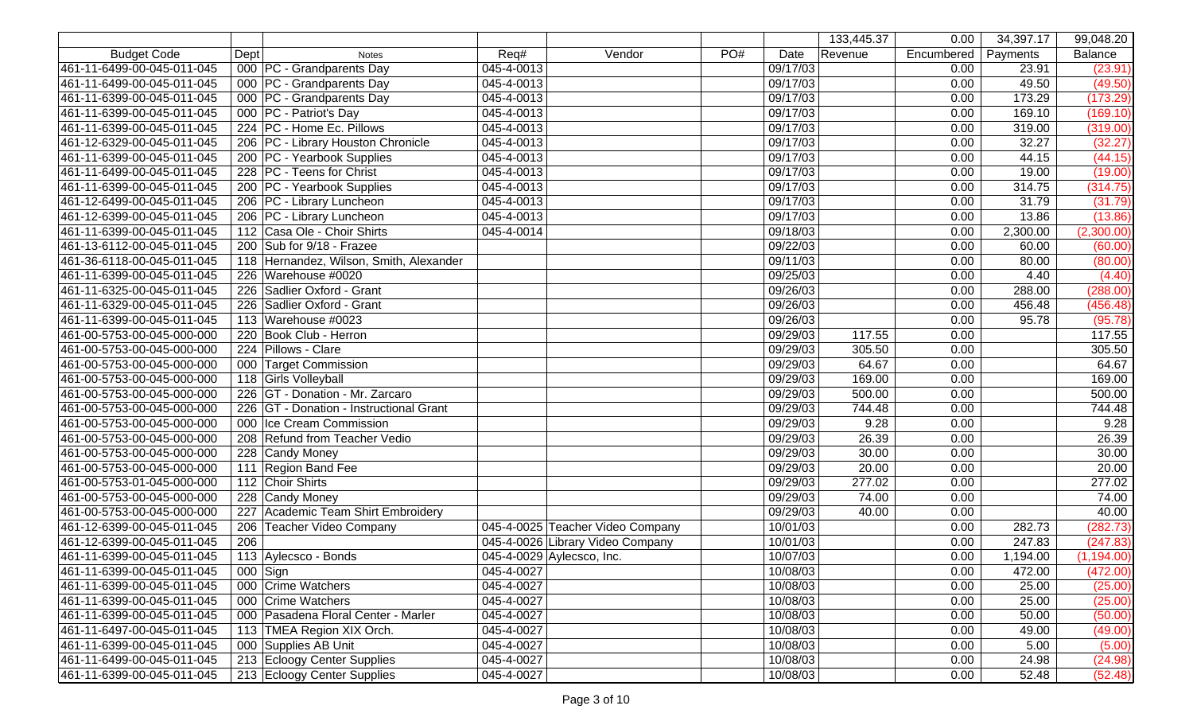|                            |      |                                         |            |                                  |     |          | 133,445.37 | 0.00       | 34,397.17 | 99,048.20      |
|----------------------------|------|-----------------------------------------|------------|----------------------------------|-----|----------|------------|------------|-----------|----------------|
| <b>Budget Code</b>         | Dept | <b>Notes</b>                            | Req#       | Vendor                           | PO# | Date     | Revenue    | Encumbered | Payments  | <b>Balance</b> |
| 461-11-6499-00-045-011-045 |      | 000 PC - Grandparents Day               | 045-4-0013 |                                  |     | 09/17/03 |            | 0.00       | 23.91     | (23.91)        |
| 461-11-6499-00-045-011-045 |      | 000 PC - Grandparents Day               | 045-4-0013 |                                  |     | 09/17/03 |            | 0.00       | 49.50     | (49.50)        |
| 461-11-6399-00-045-011-045 |      | 000 PC - Grandparents Day               | 045-4-0013 |                                  |     | 09/17/03 |            | 0.00       | 173.29    | (173.29)       |
| 461-11-6399-00-045-011-045 |      | 000 PC - Patriot's Day                  | 045-4-0013 |                                  |     | 09/17/03 |            | 0.00       | 169.10    | (169.10)       |
| 461-11-6399-00-045-011-045 |      | 224 PC - Home Ec. Pillows               | 045-4-0013 |                                  |     | 09/17/03 |            | 0.00       | 319.00    | (319.00)       |
| 461-12-6329-00-045-011-045 |      | 206   PC - Library Houston Chronicle    | 045-4-0013 |                                  |     | 09/17/03 |            | 0.00       | 32.27     | (32.27)        |
| 461-11-6399-00-045-011-045 |      | 200   PC - Yearbook Supplies            | 045-4-0013 |                                  |     | 09/17/03 |            | 0.00       | 44.15     | (44.15)        |
| 461-11-6499-00-045-011-045 |      | 228 PC - Teens for Christ               | 045-4-0013 |                                  |     | 09/17/03 |            | 0.00       | 19.00     | (19.00)        |
| 461-11-6399-00-045-011-045 |      | 200   PC - Yearbook Supplies            | 045-4-0013 |                                  |     | 09/17/03 |            | 0.00       | 314.75    | (314.75)       |
| 461-12-6499-00-045-011-045 |      | 206 PC - Library Luncheon               | 045-4-0013 |                                  |     | 09/17/03 |            | 0.00       | 31.79     | (31.79)        |
| 461-12-6399-00-045-011-045 |      | 206   PC - Library Luncheon             | 045-4-0013 |                                  |     | 09/17/03 |            | 0.00       | 13.86     | (13.86)        |
| 461-11-6399-00-045-011-045 |      | 112 Casa Ole - Choir Shirts             | 045-4-0014 |                                  |     | 09/18/03 |            | 0.00       | 2,300.00  | (2,300.00)     |
| 461-13-6112-00-045-011-045 |      | 200 Sub for 9/18 - Frazee               |            |                                  |     | 09/22/03 |            | 0.00       | 60.00     | (60.00)        |
| 461-36-6118-00-045-011-045 |      | 118 Hernandez, Wilson, Smith, Alexander |            |                                  |     | 09/11/03 |            | 0.00       | 80.00     | (80.00)        |
| 461-11-6399-00-045-011-045 |      | 226 Warehouse #0020                     |            |                                  |     | 09/25/03 |            | 0.00       | 4.40      | (4.40)         |
| 461-11-6325-00-045-011-045 |      | 226 Sadlier Oxford - Grant              |            |                                  |     | 09/26/03 |            | 0.00       | 288.00    | (288.00)       |
| 461-11-6329-00-045-011-045 |      | 226 Sadlier Oxford - Grant              |            |                                  |     | 09/26/03 |            | 0.00       | 456.48    | (456.48)       |
| 461-11-6399-00-045-011-045 |      | 113 Warehouse #0023                     |            |                                  |     | 09/26/03 |            | 0.00       | 95.78     | (95.78)        |
| 461-00-5753-00-045-000-000 |      | 220 Book Club - Herron                  |            |                                  |     | 09/29/03 | 117.55     | 0.00       |           | 117.55         |
| 461-00-5753-00-045-000-000 |      | 224 Pillows - Clare                     |            |                                  |     | 09/29/03 | 305.50     | 0.00       |           | 305.50         |
| 461-00-5753-00-045-000-000 |      | 000 Target Commission                   |            |                                  |     | 09/29/03 | 64.67      | 0.00       |           | 64.67          |
| 461-00-5753-00-045-000-000 |      | 118 Girls Volleyball                    |            |                                  |     | 09/29/03 | 169.00     | 0.00       |           | 169.00         |
| 461-00-5753-00-045-000-000 |      | 226 GT - Donation - Mr. Zarcaro         |            |                                  |     | 09/29/03 | 500.00     | 0.00       |           | 500.00         |
| 461-00-5753-00-045-000-000 |      | 226 GT - Donation - Instructional Grant |            |                                  |     | 09/29/03 | 744.48     | 0.00       |           | 744.48         |
| 461-00-5753-00-045-000-000 |      | 000 Ice Cream Commission                |            |                                  |     | 09/29/03 | 9.28       | 0.00       |           | 9.28           |
| 461-00-5753-00-045-000-000 |      | 208 Refund from Teacher Vedio           |            |                                  |     | 09/29/03 | 26.39      | 0.00       |           | 26.39          |
| 461-00-5753-00-045-000-000 |      | 228 Candy Money                         |            |                                  |     | 09/29/03 | 30.00      | 0.00       |           | 30.00          |
| 461-00-5753-00-045-000-000 |      | 111 Region Band Fee                     |            |                                  |     | 09/29/03 | 20.00      | 0.00       |           | 20.00          |
| 461-00-5753-01-045-000-000 |      | 112 Choir Shirts                        |            |                                  |     | 09/29/03 | 277.02     | 0.00       |           | 277.02         |
| 461-00-5753-00-045-000-000 |      | 228 Candy Money                         |            |                                  |     | 09/29/03 | 74.00      | 0.00       |           | 74.00          |
| 461-00-5753-00-045-000-000 |      | 227 Academic Team Shirt Embroidery      |            |                                  |     | 09/29/03 | 40.00      | 0.00       |           | 40.00          |
| 461-12-6399-00-045-011-045 |      | 206 Teacher Video Company               |            | 045-4-0025 Teacher Video Company |     | 10/01/03 |            | 0.00       | 282.73    | (282.73)       |
| 461-12-6399-00-045-011-045 | 206  |                                         |            | 045-4-0026 Library Video Company |     | 10/01/03 |            | 0.00       | 247.83    | (247.83)       |
| 461-11-6399-00-045-011-045 |      | 113 Aylecsco - Bonds                    |            | 045-4-0029 Aylecsco, Inc.        |     | 10/07/03 |            | 0.00       | 1,194.00  | (1, 194.00)    |
| 461-11-6399-00-045-011-045 |      | $000$ Sign                              | 045-4-0027 |                                  |     | 10/08/03 |            | 0.00       | 472.00    | (472.00)       |
| 461-11-6399-00-045-011-045 |      | 000 Crime Watchers                      | 045-4-0027 |                                  |     | 10/08/03 |            | 0.00       | 25.00     | (25.00)        |
| 461-11-6399-00-045-011-045 |      | 000 Crime Watchers                      | 045-4-0027 |                                  |     | 10/08/03 |            | 0.00       | 25.00     | (25.00)        |
| 461-11-6399-00-045-011-045 |      | 000 Pasadena Floral Center - Marler     | 045-4-0027 |                                  |     | 10/08/03 |            | 0.00       | 50.00     | (50.00)        |
| 461-11-6497-00-045-011-045 |      | 113 TMEA Region XIX Orch.               | 045-4-0027 |                                  |     | 10/08/03 |            | 0.00       | 49.00     | (49.00)        |
| 461-11-6399-00-045-011-045 |      | 000 Supplies AB Unit                    | 045-4-0027 |                                  |     | 10/08/03 |            | 0.00       | 5.00      | (5.00)         |
| 461-11-6499-00-045-011-045 |      | 213 Ecloogy Center Supplies             | 045-4-0027 |                                  |     | 10/08/03 |            | 0.00       | 24.98     | (24.98)        |
| 461-11-6399-00-045-011-045 |      | 213 Ecloogy Center Supplies             | 045-4-0027 |                                  |     | 10/08/03 |            | 0.00       | 52.48     | (52.48)        |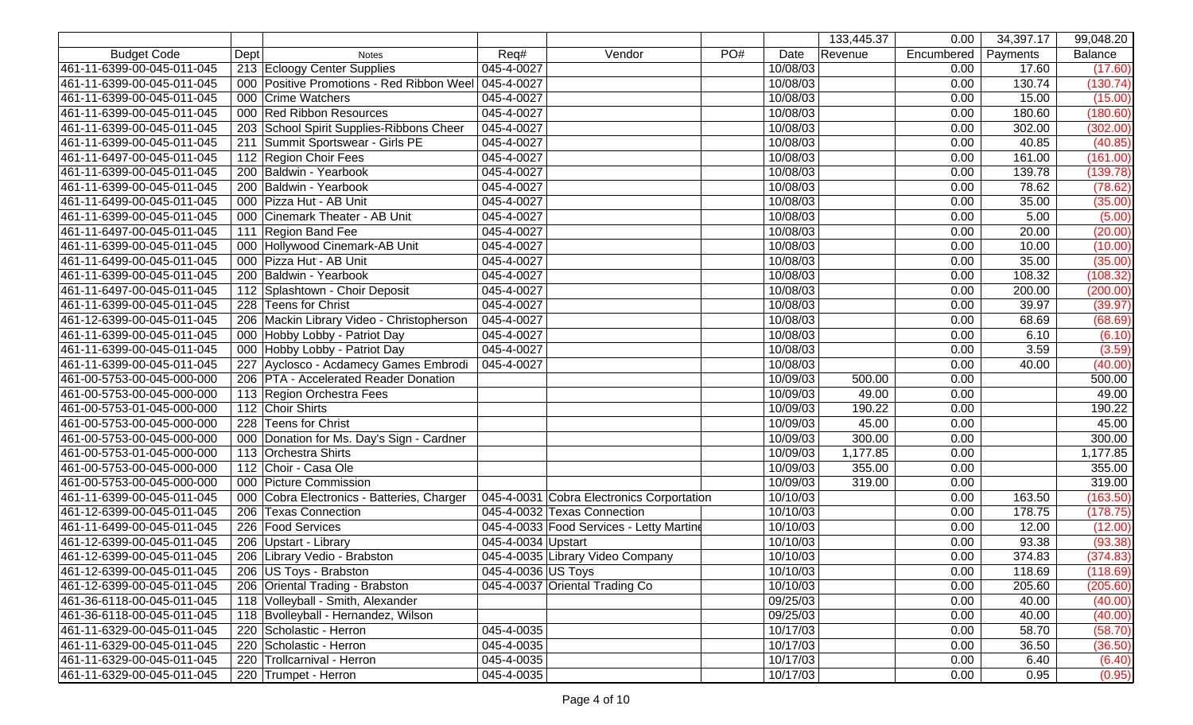|                            |                                                      |                                |                                           |             | 133,445.37 | 0.00       | 34,397.17 | $\overline{99,048.20}$ |
|----------------------------|------------------------------------------------------|--------------------------------|-------------------------------------------|-------------|------------|------------|-----------|------------------------|
| <b>Budget Code</b>         | Dept<br><b>Notes</b>                                 | Req#                           | Vendor                                    | PO#<br>Date | Revenue    | Encumbered | Payments  | <b>Balance</b>         |
| 461-11-6399-00-045-011-045 | 213 Ecloogy Center Supplies                          | 045-4-0027                     |                                           | 10/08/03    |            | 0.00       | 17.60     | (17.60)                |
| 461-11-6399-00-045-011-045 | 000 Positive Promotions - Red Ribbon Weel 045-4-0027 |                                |                                           | 10/08/03    |            | 0.00       | 130.74    | (130.74)               |
| 461-11-6399-00-045-011-045 | 000 Crime Watchers                                   | 045-4-0027                     |                                           | 10/08/03    |            | 0.00       | 15.00     | (15.00)                |
| 461-11-6399-00-045-011-045 | 000 Red Ribbon Resources                             | 045-4-0027                     |                                           | 10/08/03    |            | 0.00       | 180.60    | (180.60)               |
| 461-11-6399-00-045-011-045 | 203 School Spirit Supplies-Ribbons Cheer             | 045-4-0027                     |                                           | 10/08/03    |            | 0.00       | 302.00    | (302.00)               |
| 461-11-6399-00-045-011-045 | 211 Summit Sportswear - Girls PE                     | 045-4-0027                     |                                           | 10/08/03    |            | 0.00       | 40.85     | (40.85)                |
| 461-11-6497-00-045-011-045 | 112 Region Choir Fees                                | 045-4-0027                     |                                           | 10/08/03    |            | 0.00       | 161.00    | (161.00)               |
| 461-11-6399-00-045-011-045 | 200 Baldwin - Yearbook                               | 045-4-0027                     |                                           | 10/08/03    |            | 0.00       | 139.78    | (139.78)               |
| 461-11-6399-00-045-011-045 | 200 Baldwin - Yearbook                               | 045-4-0027                     |                                           | 10/08/03    |            | 0.00       | 78.62     | (78.62)                |
| 461-11-6499-00-045-011-045 | 000 Pizza Hut - AB Unit                              | 045-4-0027                     |                                           | 10/08/03    |            | 0.00       | 35.00     | (35.00)                |
| 461-11-6399-00-045-011-045 | 000 Cinemark Theater - AB Unit                       | 045-4-0027                     |                                           | 10/08/03    |            | 0.00       | 5.00      | (5.00)                 |
| 461-11-6497-00-045-011-045 | 111 Region Band Fee                                  | 045-4-0027                     |                                           | 10/08/03    |            | 0.00       | 20.00     | (20.00)                |
| 461-11-6399-00-045-011-045 | 000 Hollywood Cinemark-AB Unit                       | 045-4-0027                     |                                           | 10/08/03    |            | 0.00       | 10.00     | (10.00)                |
| 461-11-6499-00-045-011-045 | 000 Pizza Hut - AB Unit                              | 045-4-0027                     |                                           | 10/08/03    |            | 0.00       | 35.00     | (35.00)                |
| 461-11-6399-00-045-011-045 | 200 Baldwin - Yearbook                               | 045-4-0027                     |                                           | 10/08/03    |            | 0.00       | 108.32    | (108.32)               |
| 461-11-6497-00-045-011-045 | 112 Splashtown - Choir Deposit                       | 045-4-0027                     |                                           | 10/08/03    |            | 0.00       | 200.00    | (200.00)               |
| 461-11-6399-00-045-011-045 | 228 Teens for Christ                                 | 045-4-0027                     |                                           | 10/08/03    |            | 0.00       | 39.97     | (39.97)                |
| 461-12-6399-00-045-011-045 | 206 Mackin Library Video - Christopherson            | 045-4-0027                     |                                           | 10/08/03    |            | 0.00       | 68.69     | (68.69)                |
| 461-11-6399-00-045-011-045 | 000 Hobby Lobby - Patriot Day                        | 045-4-0027                     |                                           | 10/08/03    |            | 0.00       | 6.10      | (6.10)                 |
| 461-11-6399-00-045-011-045 | 000 Hobby Lobby - Patriot Day                        | 045-4-0027                     |                                           | 10/08/03    |            | 0.00       | 3.59      | (3.59)                 |
| 461-11-6399-00-045-011-045 | 227 Ayclosco - Acdamecy Games Embrodi                | 045-4-0027                     |                                           | 10/08/03    |            | 0.00       | 40.00     | (40.00)                |
| 461-00-5753-00-045-000-000 | 206   PTA - Accelerated Reader Donation              |                                |                                           | 10/09/03    | 500.00     | 0.00       |           | 500.00                 |
| 461-00-5753-00-045-000-000 | 113 Region Orchestra Fees                            |                                |                                           | 10/09/03    | 49.00      | 0.00       |           | 49.00                  |
| 461-00-5753-01-045-000-000 | 112 Choir Shirts                                     |                                |                                           | 10/09/03    | 190.22     | 0.00       |           | 190.22                 |
| 461-00-5753-00-045-000-000 | 228 Teens for Christ                                 |                                |                                           | 10/09/03    | 45.00      | 0.00       |           | 45.00                  |
| 461-00-5753-00-045-000-000 | 000 Donation for Ms. Day's Sign - Cardner            |                                |                                           | 10/09/03    | 300.00     | 0.00       |           | 300.00                 |
| 461-00-5753-01-045-000-000 | 113 Orchestra Shirts                                 |                                |                                           | 10/09/03    | 1,177.85   | 0.00       |           | 1,177.85               |
| 461-00-5753-00-045-000-000 | 112 Choir - Casa Ole                                 |                                |                                           | 10/09/03    | 355.00     | 0.00       |           | 355.00                 |
| 461-00-5753-00-045-000-000 | 000 Picture Commission                               |                                |                                           | 10/09/03    | 319.00     | 0.00       |           | 319.00                 |
| 461-11-6399-00-045-011-045 | 000 Cobra Electronics - Batteries, Charger           |                                | 045-4-0031 Cobra Electronics Corportation | 10/10/03    |            | 0.00       | 163.50    | (163.50)               |
| 461-12-6399-00-045-011-045 | 206 Texas Connection                                 | 045-4-0032 Texas Connection    |                                           | 10/10/03    |            | 0.00       | 178.75    | (178.75)               |
| 461-11-6499-00-045-011-045 | 226 Food Services                                    |                                | 045-4-0033 Food Services - Letty Martine  | 10/10/03    |            | 0.00       | 12.00     | (12.00)                |
| 461-12-6399-00-045-011-045 | 206   Upstart - Library                              | 045-4-0034 Upstart             |                                           | 10/10/03    |            | 0.00       | 93.38     | (93.38)                |
| 461-12-6399-00-045-011-045 | 206 Library Vedio - Brabston                         |                                | 045-4-0035 Library Video Company          | 10/10/03    |            | 0.00       | 374.83    | (374.83)               |
| 461-12-6399-00-045-011-045 | 206   US Toys - Brabston                             | 045-4-0036 US Toys             |                                           | 10/10/03    |            | 0.00       | 118.69    | (118.69)               |
| 461-12-6399-00-045-011-045 | 206 Oriental Trading - Brabston                      | 045-4-0037 Oriental Trading Co |                                           | 10/10/03    |            | 0.00       | 205.60    | (205.60)               |
| 461-36-6118-00-045-011-045 | 118 Volleyball - Smith, Alexander                    |                                |                                           | 09/25/03    |            | 0.00       | 40.00     | (40.00)                |
| 461-36-6118-00-045-011-045 | 118 Bvolleyball - Hernandez, Wilson                  |                                |                                           | 09/25/03    |            | 0.00       | 40.00     | (40.00)                |
| 461-11-6329-00-045-011-045 | 220 Scholastic - Herron                              | 045-4-0035                     |                                           | 10/17/03    |            | 0.00       | 58.70     | (58.70)                |
| 461-11-6329-00-045-011-045 | 220 Scholastic - Herron                              | 045-4-0035                     |                                           | 10/17/03    |            | 0.00       | 36.50     | (36.50)                |
| 461-11-6329-00-045-011-045 | 220 Trollcarnival - Herron                           | 045-4-0035                     |                                           | 10/17/03    |            | 0.00       | 6.40      | (6.40)                 |
| 461-11-6329-00-045-011-045 | 220 Trumpet - Herron                                 | 045-4-0035                     |                                           | 10/17/03    |            | 0.00       | 0.95      | (0.95)                 |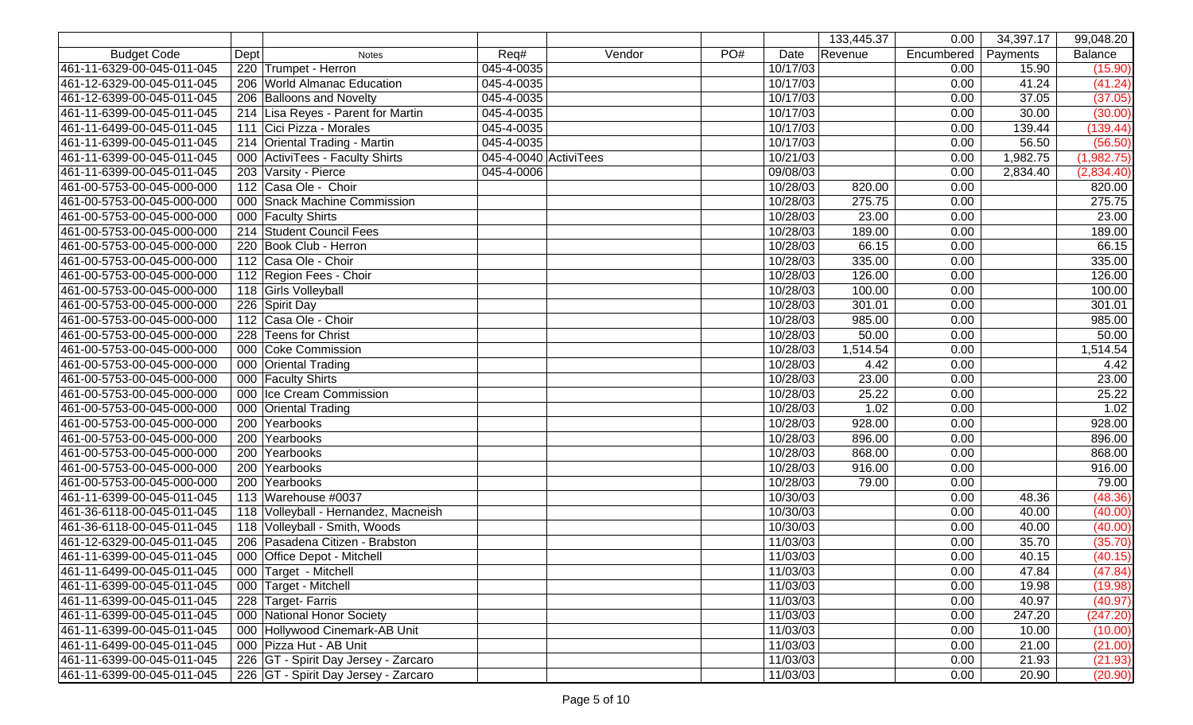|                            |      |                                      |                       |        |     |          | 133,445.37 | 0.00       | 34,397.17 | 99,048.20      |
|----------------------------|------|--------------------------------------|-----------------------|--------|-----|----------|------------|------------|-----------|----------------|
| <b>Budget Code</b>         | Dept | <b>Notes</b>                         | Req#                  | Vendor | PO# | Date     | Revenue    | Encumbered | Payments  | <b>Balance</b> |
| 461-11-6329-00-045-011-045 |      | 220 Trumpet - Herron                 | 045-4-0035            |        |     | 10/17/03 |            | 0.00       | 15.90     | (15.90)        |
| 461-12-6329-00-045-011-045 |      | 206 World Almanac Education          | 045-4-0035            |        |     | 10/17/03 |            | 0.00       | 41.24     | (41.24)        |
| 461-12-6399-00-045-011-045 |      | 206 Balloons and Novelty             | 045-4-0035            |        |     | 10/17/03 |            | 0.00       | 37.05     | (37.05)        |
| 461-11-6399-00-045-011-045 |      | 214 Lisa Reyes - Parent for Martin   | 045-4-0035            |        |     | 10/17/03 |            | 0.00       | 30.00     | (30.00)        |
| 461-11-6499-00-045-011-045 |      | 111 Cici Pizza - Morales             | 045-4-0035            |        |     | 10/17/03 |            | 0.00       | 139.44    | (139.44)       |
| 461-11-6399-00-045-011-045 |      | 214 Oriental Trading - Martin        | 045-4-0035            |        |     | 10/17/03 |            | 0.00       | 56.50     | (56.50)        |
| 461-11-6399-00-045-011-045 |      | 000 ActiviTees - Faculty Shirts      | 045-4-0040 ActiviTees |        |     | 10/21/03 |            | 0.00       | 1,982.75  | (1,982.75)     |
| 461-11-6399-00-045-011-045 |      | 203 Varsity - Pierce                 | 045-4-0006            |        |     | 09/08/03 |            | 0.00       | 2,834.40  | (2,834.40)     |
| 461-00-5753-00-045-000-000 |      | 112 Casa Ole - Choir                 |                       |        |     | 10/28/03 | 820.00     | 0.00       |           | 820.00         |
| 461-00-5753-00-045-000-000 |      | 000 Snack Machine Commission         |                       |        |     | 10/28/03 | 275.75     | 0.00       |           | 275.75         |
| 461-00-5753-00-045-000-000 |      | 000 Faculty Shirts                   |                       |        |     | 10/28/03 | 23.00      | 0.00       |           | 23.00          |
| 461-00-5753-00-045-000-000 |      | 214 Student Council Fees             |                       |        |     | 10/28/03 | 189.00     | 0.00       |           | 189.00         |
| 461-00-5753-00-045-000-000 |      | 220 Book Club - Herron               |                       |        |     | 10/28/03 | 66.15      | 0.00       |           | 66.15          |
| 461-00-5753-00-045-000-000 |      | 112 Casa Ole - Choir                 |                       |        |     | 10/28/03 | 335.00     | 0.00       |           | 335.00         |
| 461-00-5753-00-045-000-000 |      | 112 Region Fees - Choir              |                       |        |     | 10/28/03 | 126.00     | 0.00       |           | 126.00         |
| 461-00-5753-00-045-000-000 |      | 118 Girls Volleyball                 |                       |        |     | 10/28/03 | 100.00     | 0.00       |           | 100.00         |
| 461-00-5753-00-045-000-000 |      | 226 Spirit Day                       |                       |        |     | 10/28/03 | 301.01     | 0.00       |           | 301.01         |
| 461-00-5753-00-045-000-000 |      | 112 Casa Ole - Choir                 |                       |        |     | 10/28/03 | 985.00     | 0.00       |           | 985.00         |
| 461-00-5753-00-045-000-000 |      | 228 Teens for Christ                 |                       |        |     | 10/28/03 | 50.00      | 0.00       |           | 50.00          |
| 461-00-5753-00-045-000-000 |      | 000 Coke Commission                  |                       |        |     | 10/28/03 | 1,514.54   | 0.00       |           | 1,514.54       |
| 461-00-5753-00-045-000-000 |      | 000 Oriental Trading                 |                       |        |     | 10/28/03 | 4.42       | 0.00       |           | 4.42           |
| 461-00-5753-00-045-000-000 |      | 000 Faculty Shirts                   |                       |        |     | 10/28/03 | 23.00      | 0.00       |           | 23.00          |
| 461-00-5753-00-045-000-000 |      | 000 Ice Cream Commission             |                       |        |     | 10/28/03 | 25.22      | 0.00       |           | 25.22          |
| 461-00-5753-00-045-000-000 |      | 000 Oriental Trading                 |                       |        |     | 10/28/03 | 1.02       | 0.00       |           | 1.02           |
| 461-00-5753-00-045-000-000 |      | 200 Yearbooks                        |                       |        |     | 10/28/03 | 928.00     | 0.00       |           | 928.00         |
| 461-00-5753-00-045-000-000 |      | 200 Yearbooks                        |                       |        |     | 10/28/03 | 896.00     | 0.00       |           | 896.00         |
| 461-00-5753-00-045-000-000 |      | 200 Yearbooks                        |                       |        |     | 10/28/03 | 868.00     | 0.00       |           | 868.00         |
| 461-00-5753-00-045-000-000 |      | 200 Yearbooks                        |                       |        |     | 10/28/03 | 916.00     | 0.00       |           | 916.00         |
| 461-00-5753-00-045-000-000 |      | 200 Yearbooks                        |                       |        |     | 10/28/03 | 79.00      | 0.00       |           | 79.00          |
| 461-11-6399-00-045-011-045 |      | 113 Warehouse #0037                  |                       |        |     | 10/30/03 |            | 0.00       | 48.36     | (48.36)        |
| 461-36-6118-00-045-011-045 |      | 118 Volleyball - Hernandez, Macneish |                       |        |     | 10/30/03 |            | 0.00       | 40.00     | (40.00)        |
| 461-36-6118-00-045-011-045 |      | 118 Volleyball - Smith, Woods        |                       |        |     | 10/30/03 |            | 0.00       | 40.00     | (40.00)        |
| 461-12-6329-00-045-011-045 |      | 206 Pasadena Citizen - Brabston      |                       |        |     | 11/03/03 |            | 0.00       | 35.70     | (35.70)        |
| 461-11-6399-00-045-011-045 |      | 000 Office Depot - Mitchell          |                       |        |     | 11/03/03 |            | 0.00       | 40.15     | (40.15)        |
| 461-11-6499-00-045-011-045 |      | 000 Target - Mitchell                |                       |        |     | 11/03/03 |            | 0.00       | 47.84     | (47.84)        |
| 461-11-6399-00-045-011-045 |      | 000 Target - Mitchell                |                       |        |     | 11/03/03 |            | 0.00       | 19.98     | (19.98)        |
| 461-11-6399-00-045-011-045 |      | 228 Target-Farris                    |                       |        |     | 11/03/03 |            | 0.00       | 40.97     | (40.97)        |
| 461-11-6399-00-045-011-045 |      | 000 National Honor Society           |                       |        |     | 11/03/03 |            | 0.00       | 247.20    | (247.20)       |
| 461-11-6399-00-045-011-045 |      | 000 Hollywood Cinemark-AB Unit       |                       |        |     | 11/03/03 |            | 0.00       | 10.00     | (10.00)        |
| 461-11-6499-00-045-011-045 |      | 000 Pizza Hut - AB Unit              |                       |        |     | 11/03/03 |            | 0.00       | 21.00     | (21.00)        |
| 461-11-6399-00-045-011-045 |      | 226 GT - Spirit Day Jersey - Zarcaro |                       |        |     | 11/03/03 |            | 0.00       | 21.93     | (21.93)        |
| 461-11-6399-00-045-011-045 |      | 226 GT - Spirit Day Jersey - Zarcaro |                       |        |     | 11/03/03 |            | 0.00       | 20.90     | (20.90)        |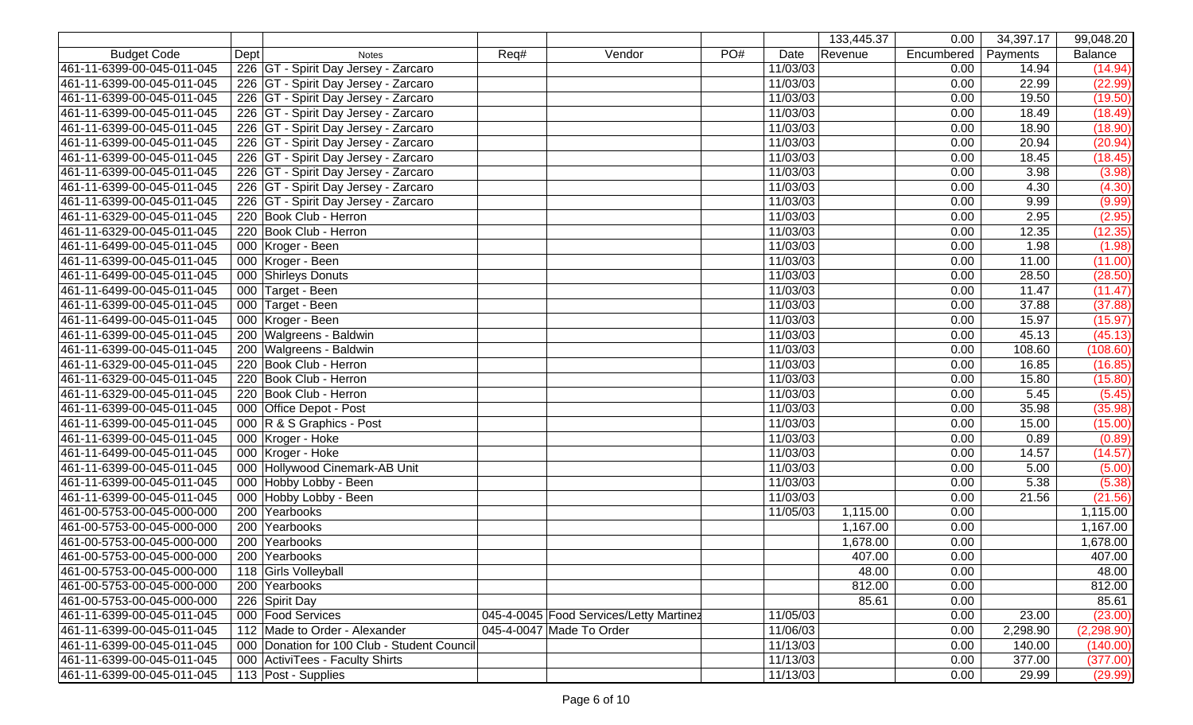|                            |      |                                             |      |                                         |        |     |          | 133,445.37 | 0.00       | 34,397.17 | 99,048.20   |
|----------------------------|------|---------------------------------------------|------|-----------------------------------------|--------|-----|----------|------------|------------|-----------|-------------|
| <b>Budget Code</b>         | Dept | <b>Notes</b>                                | Req# |                                         | Vendor | PO# | Date     | Revenue    | Encumbered | Payments  | Balance     |
| 461-11-6399-00-045-011-045 |      | 226 GT - Spirit Day Jersey - Zarcaro        |      |                                         |        |     | 11/03/03 |            | 0.00       | 14.94     | (14.94)     |
| 461-11-6399-00-045-011-045 |      | 226 GT - Spirit Day Jersey - Zarcaro        |      |                                         |        |     | 11/03/03 |            | 0.00       | 22.99     | (22.99)     |
| 461-11-6399-00-045-011-045 |      | 226 GT - Spirit Day Jersey - Zarcaro        |      |                                         |        |     | 11/03/03 |            | 0.00       | 19.50     | (19.50)     |
| 461-11-6399-00-045-011-045 |      | 226 GT - Spirit Day Jersey - Zarcaro        |      |                                         |        |     | 11/03/03 |            | 0.00       | 18.49     | (18.49)     |
| 461-11-6399-00-045-011-045 |      | 226 GT - Spirit Day Jersey - Zarcaro        |      |                                         |        |     | 11/03/03 |            | 0.00       | 18.90     | (18.90)     |
| 461-11-6399-00-045-011-045 |      | 226 GT - Spirit Day Jersey - Zarcaro        |      |                                         |        |     | 11/03/03 |            | 0.00       | 20.94     | (20.94)     |
| 461-11-6399-00-045-011-045 |      | 226 GT - Spirit Day Jersey - Zarcaro        |      |                                         |        |     | 11/03/03 |            | 0.00       | 18.45     | (18.45)     |
| 461-11-6399-00-045-011-045 |      | 226 GT - Spirit Day Jersey - Zarcaro        |      |                                         |        |     | 11/03/03 |            | 0.00       | 3.98      | (3.98)      |
| 461-11-6399-00-045-011-045 |      | 226 GT - Spirit Day Jersey - Zarcaro        |      |                                         |        |     | 11/03/03 |            | 0.00       | 4.30      | (4.30)      |
| 461-11-6399-00-045-011-045 |      | 226 GT - Spirit Day Jersey - Zarcaro        |      |                                         |        |     | 11/03/03 |            | 0.00       | 9.99      | (9.99)      |
| 461-11-6329-00-045-011-045 |      | 220 Book Club - Herron                      |      |                                         |        |     | 11/03/03 |            | 0.00       | 2.95      | (2.95)      |
| 461-11-6329-00-045-011-045 |      | 220 Book Club - Herron                      |      |                                         |        |     | 11/03/03 |            | 0.00       | 12.35     | (12.35)     |
| 461-11-6499-00-045-011-045 |      | 000 Kroger - Been                           |      |                                         |        |     | 11/03/03 |            | 0.00       | 1.98      | (1.98)      |
| 461-11-6399-00-045-011-045 |      | 000 Kroger - Been                           |      |                                         |        |     | 11/03/03 |            | 0.00       | 11.00     | (11.00)     |
| 461-11-6499-00-045-011-045 |      | 000 Shirleys Donuts                         |      |                                         |        |     | 11/03/03 |            | 0.00       | 28.50     | (28.50)     |
| 461-11-6499-00-045-011-045 |      | 000 Target - Been                           |      |                                         |        |     | 11/03/03 |            | 0.00       | 11.47     | (11.47)     |
| 461-11-6399-00-045-011-045 |      | 000 Target - Been                           |      |                                         |        |     | 11/03/03 |            | 0.00       | 37.88     | (37.88)     |
| 461-11-6499-00-045-011-045 |      | 000 Kroger - Been                           |      |                                         |        |     | 11/03/03 |            | 0.00       | 15.97     | (15.97)     |
| 461-11-6399-00-045-011-045 |      | 200 Walgreens - Baldwin                     |      |                                         |        |     | 11/03/03 |            | 0.00       | 45.13     | (45.13)     |
| 461-11-6399-00-045-011-045 |      | 200 Walgreens - Baldwin                     |      |                                         |        |     | 11/03/03 |            | 0.00       | 108.60    | (108.60)    |
| 461-11-6329-00-045-011-045 |      | 220 Book Club - Herron                      |      |                                         |        |     | 11/03/03 |            | 0.00       | 16.85     | (16.85)     |
| 461-11-6329-00-045-011-045 |      | 220 Book Club - Herron                      |      |                                         |        |     | 11/03/03 |            | 0.00       | 15.80     | (15.80)     |
| 461-11-6329-00-045-011-045 |      | 220 Book Club - Herron                      |      |                                         |        |     | 11/03/03 |            | 0.00       | 5.45      | (5.45)      |
| 461-11-6399-00-045-011-045 |      | 000 Office Depot - Post                     |      |                                         |        |     | 11/03/03 |            | 0.00       | 35.98     | (35.98)     |
| 461-11-6399-00-045-011-045 |      | 000 R & S Graphics - Post                   |      |                                         |        |     | 11/03/03 |            | 0.00       | 15.00     | (15.00)     |
| 461-11-6399-00-045-011-045 |      | 000 Kroger - Hoke                           |      |                                         |        |     | 11/03/03 |            | 0.00       | 0.89      | (0.89)      |
| 461-11-6499-00-045-011-045 |      | 000 Kroger - Hoke                           |      |                                         |        |     | 11/03/03 |            | 0.00       | 14.57     | (14.57)     |
| 461-11-6399-00-045-011-045 |      | 000 Hollywood Cinemark-AB Unit              |      |                                         |        |     | 11/03/03 |            | 0.00       | 5.00      | (5.00)      |
| 461-11-6399-00-045-011-045 |      | 000 Hobby Lobby - Been                      |      |                                         |        |     | 11/03/03 |            | 0.00       | 5.38      | (5.38)      |
| 461-11-6399-00-045-011-045 |      | 000 Hobby Lobby - Been                      |      |                                         |        |     | 11/03/03 |            | 0.00       | 21.56     | (21.56)     |
| 461-00-5753-00-045-000-000 |      | 200 Yearbooks                               |      |                                         |        |     | 11/05/03 | 1,115.00   | 0.00       |           | 1,115.00    |
| 461-00-5753-00-045-000-000 |      | 200 Yearbooks                               |      |                                         |        |     |          | 1,167.00   | 0.00       |           | 1,167.00    |
| 461-00-5753-00-045-000-000 |      | 200 Yearbooks                               |      |                                         |        |     |          | 1,678.00   | 0.00       |           | 1,678.00    |
| 461-00-5753-00-045-000-000 |      | 200 Yearbooks                               |      |                                         |        |     |          | 407.00     | 0.00       |           | 407.00      |
| 461-00-5753-00-045-000-000 |      | 118 Girls Volleyball                        |      |                                         |        |     |          | 48.00      | 0.00       |           | 48.00       |
| 461-00-5753-00-045-000-000 |      | 200 Yearbooks                               |      |                                         |        |     |          | 812.00     | 0.00       |           | 812.00      |
| 461-00-5753-00-045-000-000 |      | 226 Spirit Day                              |      |                                         |        |     |          | 85.61      | 0.00       |           | 85.61       |
| 461-11-6399-00-045-011-045 |      | 000 Food Services                           |      | 045-4-0045 Food Services/Letty Martinez |        |     | 11/05/03 |            | 0.00       | 23.00     | (23.00)     |
| 461-11-6399-00-045-011-045 |      | 112 Made to Order - Alexander               |      | 045-4-0047 Made To Order                |        |     | 11/06/03 |            | 0.00       | 2,298.90  | (2, 298.90) |
| 461-11-6399-00-045-011-045 |      | 000 Donation for 100 Club - Student Council |      |                                         |        |     | 11/13/03 |            | 0.00       | 140.00    | (140.00)    |
| 461-11-6399-00-045-011-045 |      | 000 ActiviTees - Faculty Shirts             |      |                                         |        |     | 11/13/03 |            | 0.00       | 377.00    | (377.00)    |
| 461-11-6399-00-045-011-045 |      | 113 Post - Supplies                         |      |                                         |        |     | 11/13/03 |            | 0.00       | 29.99     | (29.99)     |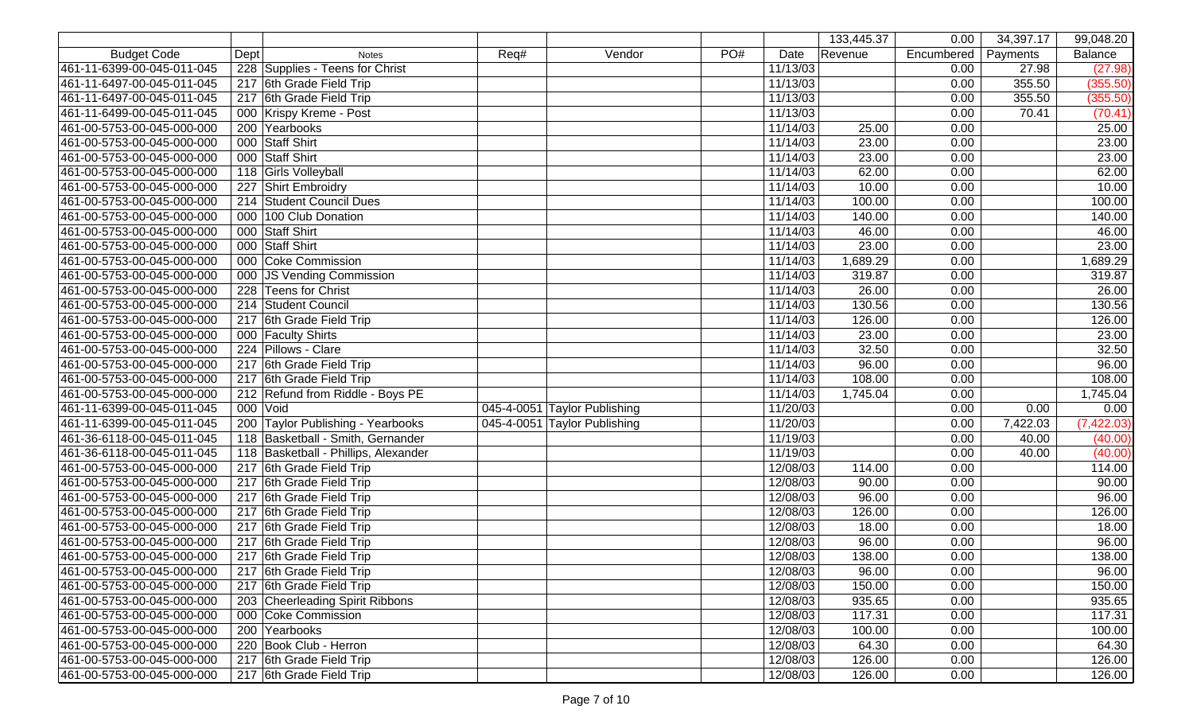|                            |      |                                      |      |                              |     |          | 133,445.37 | 0.00       | 34,397.17 | 99,048.20      |
|----------------------------|------|--------------------------------------|------|------------------------------|-----|----------|------------|------------|-----------|----------------|
| <b>Budget Code</b>         | Dept | <b>Notes</b>                         | Req# | Vendor                       | PO# | Date     | Revenue    | Encumbered | Payments  | <b>Balance</b> |
| 461-11-6399-00-045-011-045 |      | 228 Supplies - Teens for Christ      |      |                              |     | 11/13/03 |            | 0.00       | 27.98     | (27.98)        |
| 461-11-6497-00-045-011-045 |      | 217 6th Grade Field Trip             |      |                              |     | 11/13/03 |            | 0.00       | 355.50    | (355.50)       |
| 461-11-6497-00-045-011-045 |      | 217 6th Grade Field Trip             |      |                              |     | 11/13/03 |            | 0.00       | 355.50    | (355.50)       |
| 461-11-6499-00-045-011-045 |      | 000 Krispy Kreme - Post              |      |                              |     | 11/13/03 |            | 0.00       | 70.41     | (70.41)        |
| 461-00-5753-00-045-000-000 |      | 200 Yearbooks                        |      |                              |     | 11/14/03 | 25.00      | 0.00       |           | 25.00          |
| 461-00-5753-00-045-000-000 |      | 000 Staff Shirt                      |      |                              |     | 11/14/03 | 23.00      | 0.00       |           | 23.00          |
| 461-00-5753-00-045-000-000 |      | 000 Staff Shirt                      |      |                              |     | 11/14/03 | 23.00      | 0.00       |           | 23.00          |
| 461-00-5753-00-045-000-000 |      | 118 Girls Volleyball                 |      |                              |     | 11/14/03 | 62.00      | 0.00       |           | 62.00          |
| 461-00-5753-00-045-000-000 |      | 227 Shirt Embroidry                  |      |                              |     | 11/14/03 | 10.00      | 0.00       |           | 10.00          |
| 461-00-5753-00-045-000-000 |      | 214 Student Council Dues             |      |                              |     | 11/14/03 | 100.00     | 0.00       |           | 100.00         |
| 461-00-5753-00-045-000-000 |      | 000 100 Club Donation                |      |                              |     | 11/14/03 | 140.00     | 0.00       |           | 140.00         |
| 461-00-5753-00-045-000-000 |      | 000 Staff Shirt                      |      |                              |     | 11/14/03 | 46.00      | 0.00       |           | 46.00          |
| 461-00-5753-00-045-000-000 |      | 000 Staff Shirt                      |      |                              |     | 11/14/03 | 23.00      | 0.00       |           | 23.00          |
| 461-00-5753-00-045-000-000 |      | 000 Coke Commission                  |      |                              |     | 11/14/03 | 1,689.29   | 0.00       |           | 1,689.29       |
| 461-00-5753-00-045-000-000 |      | 000   JS Vending Commission          |      |                              |     | 11/14/03 | 319.87     | 0.00       |           | 319.87         |
| 461-00-5753-00-045-000-000 |      | 228 Teens for Christ                 |      |                              |     | 11/14/03 | 26.00      | 0.00       |           | 26.00          |
| 461-00-5753-00-045-000-000 |      | 214 Student Council                  |      |                              |     | 11/14/03 | 130.56     | 0.00       |           | 130.56         |
| 461-00-5753-00-045-000-000 |      | 217 6th Grade Field Trip             |      |                              |     | 11/14/03 | 126.00     | 0.00       |           | 126.00         |
| 461-00-5753-00-045-000-000 |      | 000 Faculty Shirts                   |      |                              |     | 11/14/03 | 23.00      | 0.00       |           | 23.00          |
| 461-00-5753-00-045-000-000 |      | 224 Pillows - Clare                  |      |                              |     | 11/14/03 | 32.50      | 0.00       |           | 32.50          |
| 461-00-5753-00-045-000-000 |      | 217 6th Grade Field Trip             |      |                              |     | 11/14/03 | 96.00      | 0.00       |           | 96.00          |
| 461-00-5753-00-045-000-000 |      | 217 6th Grade Field Trip             |      |                              |     | 11/14/03 | 108.00     | 0.00       |           | 108.00         |
| 461-00-5753-00-045-000-000 |      | 212 Refund from Riddle - Boys PE     |      |                              |     | 11/14/03 | 1,745.04   | 0.00       |           | 1,745.04       |
| 461-11-6399-00-045-011-045 |      | 000 Void                             |      | 045-4-0051 Taylor Publishing |     | 11/20/03 |            | 0.00       | 0.00      | 0.00           |
| 461-11-6399-00-045-011-045 |      | 200 Taylor Publishing - Yearbooks    |      | 045-4-0051 Taylor Publishing |     | 11/20/03 |            | 0.00       | 7,422.03  | (7, 422.03)    |
| 461-36-6118-00-045-011-045 |      | 118 Basketball - Smith, Gernander    |      |                              |     | 11/19/03 |            | 0.00       | 40.00     | (40.00)        |
| 461-36-6118-00-045-011-045 |      | 118 Basketball - Phillips, Alexander |      |                              |     | 11/19/03 |            | 0.00       | 40.00     | (40.00)        |
| 461-00-5753-00-045-000-000 |      | 217 6th Grade Field Trip             |      |                              |     | 12/08/03 | 114.00     | 0.00       |           | 114.00         |
| 461-00-5753-00-045-000-000 |      | 217 6th Grade Field Trip             |      |                              |     | 12/08/03 | 90.00      | 0.00       |           | 90.00          |
| 461-00-5753-00-045-000-000 |      | 217 6th Grade Field Trip             |      |                              |     | 12/08/03 | 96.00      | 0.00       |           | 96.00          |
| 461-00-5753-00-045-000-000 |      | 217 6th Grade Field Trip             |      |                              |     | 12/08/03 | 126.00     | 0.00       |           | 126.00         |
| 461-00-5753-00-045-000-000 |      | 217 6th Grade Field Trip             |      |                              |     | 12/08/03 | 18.00      | 0.00       |           | 18.00          |
| 461-00-5753-00-045-000-000 |      | 217 6th Grade Field Trip             |      |                              |     | 12/08/03 | 96.00      | 0.00       |           | 96.00          |
| 461-00-5753-00-045-000-000 |      | 217 6th Grade Field Trip             |      |                              |     | 12/08/03 | 138.00     | 0.00       |           | 138.00         |
| 461-00-5753-00-045-000-000 |      | 217 6th Grade Field Trip             |      |                              |     | 12/08/03 | 96.00      | 0.00       |           | 96.00          |
| 461-00-5753-00-045-000-000 |      | 217 6th Grade Field Trip             |      |                              |     | 12/08/03 | 150.00     | 0.00       |           | 150.00         |
| 461-00-5753-00-045-000-000 |      | 203 Cheerleading Spirit Ribbons      |      |                              |     | 12/08/03 | 935.65     | 0.00       |           | 935.65         |
| 461-00-5753-00-045-000-000 |      | 000 Coke Commission                  |      |                              |     | 12/08/03 | 117.31     | 0.00       |           | 117.31         |
| 461-00-5753-00-045-000-000 |      | 200 Yearbooks                        |      |                              |     | 12/08/03 | 100.00     | 0.00       |           | 100.00         |
| 461-00-5753-00-045-000-000 |      | 220 Book Club - Herron               |      |                              |     | 12/08/03 | 64.30      | 0.00       |           | 64.30          |
| 461-00-5753-00-045-000-000 |      | 217 6th Grade Field Trip             |      |                              |     | 12/08/03 | 126.00     | 0.00       |           | 126.00         |
| 461-00-5753-00-045-000-000 |      | 217 6th Grade Field Trip             |      |                              |     | 12/08/03 | 126.00     | 0.00       |           | 126.00         |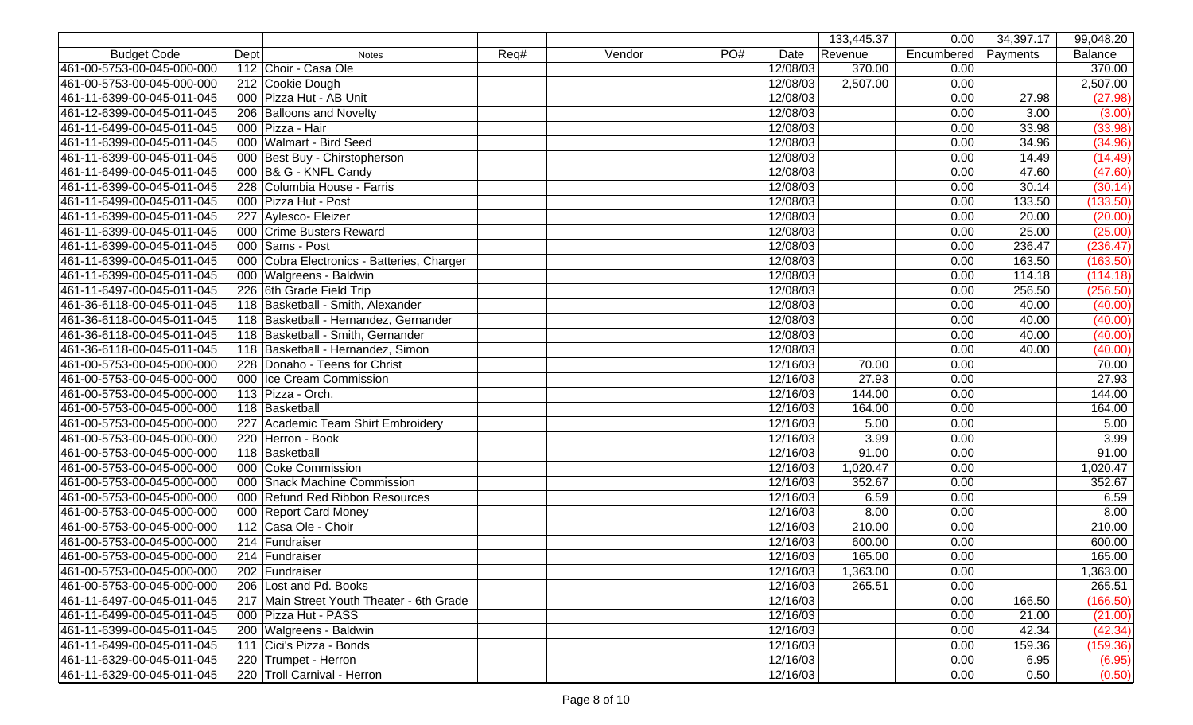|                            |      |                                            |      |        |     |          | 133,445.37 | 0.00       | 34,397.17 | 99,048.20      |
|----------------------------|------|--------------------------------------------|------|--------|-----|----------|------------|------------|-----------|----------------|
| <b>Budget Code</b>         | Dept | <b>Notes</b>                               | Req# | Vendor | PO# | Date     | Revenue    | Encumbered | Payments  | <b>Balance</b> |
| 461-00-5753-00-045-000-000 |      | 112 Choir - Casa Ole                       |      |        |     | 12/08/03 | 370.00     | 0.00       |           | 370.00         |
| 461-00-5753-00-045-000-000 |      | 212 Cookie Dough                           |      |        |     | 12/08/03 | 2,507.00   | 0.00       |           | 2,507.00       |
| 461-11-6399-00-045-011-045 |      | 000 Pizza Hut - AB Unit                    |      |        |     | 12/08/03 |            | 0.00       | 27.98     | (27.98)        |
| 461-12-6399-00-045-011-045 |      | 206 Balloons and Novelty                   |      |        |     | 12/08/03 |            | 0.00       | 3.00      | (3.00)         |
| 461-11-6499-00-045-011-045 |      | 000 Pizza - Hair                           |      |        |     | 12/08/03 |            | 0.00       | 33.98     | (33.98)        |
| 461-11-6399-00-045-011-045 |      | 000 Walmart - Bird Seed                    |      |        |     | 12/08/03 |            | 0.00       | 34.96     | (34.96)        |
| 461-11-6399-00-045-011-045 |      | 000 Best Buy - Chirstopherson              |      |        |     | 12/08/03 |            | 0.00       | 14.49     | (14.49)        |
| 461-11-6499-00-045-011-045 |      | 000 B& G - KNFL Candy                      |      |        |     | 12/08/03 |            | 0.00       | 47.60     | (47.60)        |
| 461-11-6399-00-045-011-045 |      | 228 Columbia House - Farris                |      |        |     | 12/08/03 |            | 0.00       | 30.14     | (30.14)        |
| 461-11-6499-00-045-011-045 |      | 000 Pizza Hut - Post                       |      |        |     | 12/08/03 |            | 0.00       | 133.50    | (133.50)       |
| 461-11-6399-00-045-011-045 |      | 227 Aylesco- Eleizer                       |      |        |     | 12/08/03 |            | 0.00       | 20.00     | (20.00)        |
| 461-11-6399-00-045-011-045 |      | 000 Crime Busters Reward                   |      |        |     | 12/08/03 |            | 0.00       | 25.00     | (25.00)        |
| 461-11-6399-00-045-011-045 |      | 000 Sams - Post                            |      |        |     | 12/08/03 |            | 0.00       | 236.47    | (236.47)       |
| 461-11-6399-00-045-011-045 |      | 000 Cobra Electronics - Batteries, Charger |      |        |     | 12/08/03 |            | 0.00       | 163.50    | (163.50)       |
| 461-11-6399-00-045-011-045 |      | 000 Walgreens - Baldwin                    |      |        |     | 12/08/03 |            | 0.00       | 114.18    | (114.18)       |
| 461-11-6497-00-045-011-045 |      | 226 6th Grade Field Trip                   |      |        |     | 12/08/03 |            | 0.00       | 256.50    | (256.50)       |
| 461-36-6118-00-045-011-045 |      | 118 Basketball - Smith, Alexander          |      |        |     | 12/08/03 |            | 0.00       | 40.00     | (40.00)        |
| 461-36-6118-00-045-011-045 |      | 118 Basketball - Hernandez, Gernander      |      |        |     | 12/08/03 |            | 0.00       | 40.00     | (40.00)        |
| 461-36-6118-00-045-011-045 |      | 118 Basketball - Smith, Gernander          |      |        |     | 12/08/03 |            | 0.00       | 40.00     | (40.00)        |
| 461-36-6118-00-045-011-045 |      | 118 Basketball - Hernandez, Simon          |      |        |     | 12/08/03 |            | 0.00       | 40.00     | (40.00)        |
| 461-00-5753-00-045-000-000 |      | 228 Donaho - Teens for Christ              |      |        |     | 12/16/03 | 70.00      | 0.00       |           | 70.00          |
| 461-00-5753-00-045-000-000 |      | 000 Ice Cream Commission                   |      |        |     | 12/16/03 | 27.93      | 0.00       |           | 27.93          |
| 461-00-5753-00-045-000-000 |      | 113 Pizza - Orch.                          |      |        |     | 12/16/03 | 144.00     | 0.00       |           | 144.00         |
| 461-00-5753-00-045-000-000 |      | 118 Basketball                             |      |        |     | 12/16/03 | 164.00     | 0.00       |           | 164.00         |
| 461-00-5753-00-045-000-000 |      | 227 Academic Team Shirt Embroidery         |      |        |     | 12/16/03 | 5.00       | 0.00       |           | 5.00           |
| 461-00-5753-00-045-000-000 |      | 220 Herron - Book                          |      |        |     | 12/16/03 | 3.99       | 0.00       |           | 3.99           |
| 461-00-5753-00-045-000-000 |      | 118 Basketball                             |      |        |     | 12/16/03 | 91.00      | 0.00       |           | 91.00          |
| 461-00-5753-00-045-000-000 |      | 000 Coke Commission                        |      |        |     | 12/16/03 | 1,020.47   | 0.00       |           | 1,020.47       |
| 461-00-5753-00-045-000-000 |      | 000 Snack Machine Commission               |      |        |     | 12/16/03 | 352.67     | 0.00       |           | 352.67         |
| 461-00-5753-00-045-000-000 |      | 000 Refund Red Ribbon Resources            |      |        |     | 12/16/03 | 6.59       | 0.00       |           | 6.59           |
| 461-00-5753-00-045-000-000 |      | 000 Report Card Money                      |      |        |     | 12/16/03 | 8.00       | 0.00       |           | 8.00           |
| 461-00-5753-00-045-000-000 |      | 112 Casa Ole - Choir                       |      |        |     | 12/16/03 | 210.00     | 0.00       |           | 210.00         |
| 461-00-5753-00-045-000-000 |      | 214 Fundraiser                             |      |        |     | 12/16/03 | 600.00     | 0.00       |           | 600.00         |
| 461-00-5753-00-045-000-000 |      | $\overline{214}$ Fundraiser                |      |        |     | 12/16/03 | 165.00     | 0.00       |           | 165.00         |
| 461-00-5753-00-045-000-000 |      | 202 Fundraiser                             |      |        |     | 12/16/03 | 1,363.00   | 0.00       |           | 1,363.00       |
| 461-00-5753-00-045-000-000 |      | 206 Lost and Pd. Books                     |      |        |     | 12/16/03 | 265.51     | 0.00       |           | 265.51         |
| 461-11-6497-00-045-011-045 |      | 217 Main Street Youth Theater - 6th Grade  |      |        |     | 12/16/03 |            | 0.00       | 166.50    | (166.50)       |
| 461-11-6499-00-045-011-045 |      | 000 Pizza Hut - PASS                       |      |        |     | 12/16/03 |            | 0.00       | 21.00     | (21.00)        |
| 461-11-6399-00-045-011-045 |      | 200 Walgreens - Baldwin                    |      |        |     | 12/16/03 |            | 0.00       | 42.34     | (42.34)        |
| 461-11-6499-00-045-011-045 |      | 111 Cici's Pizza - Bonds                   |      |        |     | 12/16/03 |            | 0.00       | 159.36    | (159.36)       |
| 461-11-6329-00-045-011-045 |      | 220 Trumpet - Herron                       |      |        |     | 12/16/03 |            | 0.00       | 6.95      | (6.95)         |
| 461-11-6329-00-045-011-045 |      | 220 Troll Carnival - Herron                |      |        |     | 12/16/03 |            | 0.00       | 0.50      | (0.50)         |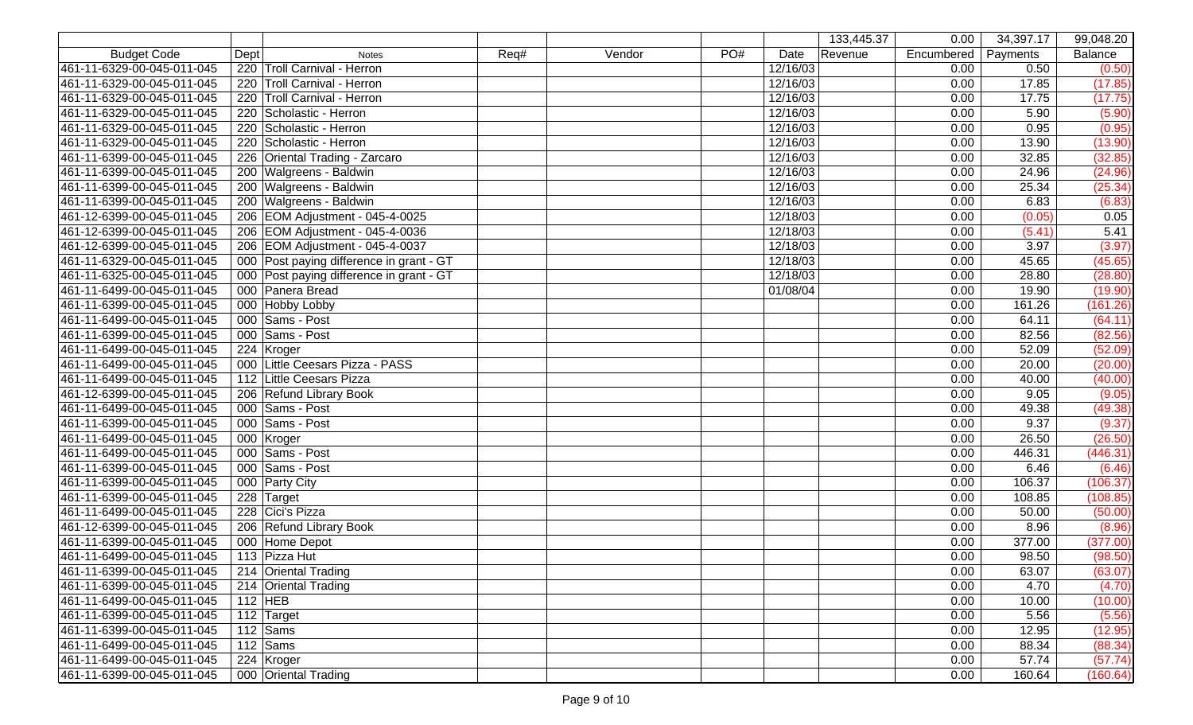|                            |             |                                          |      |        |     |          | 133,445.37 | 0.00       | 34,397.17 | 99,048.20 |
|----------------------------|-------------|------------------------------------------|------|--------|-----|----------|------------|------------|-----------|-----------|
| <b>Budget Code</b>         | <b>Dept</b> | <b>Notes</b>                             | Req# | Vendor | PO# | Date     | Revenue    | Encumbered | Payments  | Balance   |
| 461-11-6329-00-045-011-045 |             | 220 Troll Carnival - Herron              |      |        |     | 12/16/03 |            | 0.00       | 0.50      | (0.50)    |
| 461-11-6329-00-045-011-045 |             | 220 Troll Carnival - Herron              |      |        |     | 12/16/03 |            | 0.00       | 17.85     | (17.85)   |
| 461-11-6329-00-045-011-045 |             | 220 Troll Carnival - Herron              |      |        |     | 12/16/03 |            | 0.00       | 17.75     | (17.75)   |
| 461-11-6329-00-045-011-045 |             | 220 Scholastic - Herron                  |      |        |     | 12/16/03 |            | 0.00       | 5.90      | (5.90)    |
| 461-11-6329-00-045-011-045 |             | 220 Scholastic - Herron                  |      |        |     | 12/16/03 |            | 0.00       | 0.95      | (0.95)    |
| 461-11-6329-00-045-011-045 |             | 220 Scholastic - Herron                  |      |        |     | 12/16/03 |            | 0.00       | 13.90     | (13.90)   |
| 461-11-6399-00-045-011-045 |             | 226 Oriental Trading - Zarcaro           |      |        |     | 12/16/03 |            | 0.00       | 32.85     | (32.85)   |
| 461-11-6399-00-045-011-045 |             | 200 Walgreens - Baldwin                  |      |        |     | 12/16/03 |            | 0.00       | 24.96     | (24.96)   |
| 461-11-6399-00-045-011-045 |             | 200 Walgreens - Baldwin                  |      |        |     | 12/16/03 |            | 0.00       | 25.34     | (25.34)   |
| 461-11-6399-00-045-011-045 |             | 200 Walgreens - Baldwin                  |      |        |     | 12/16/03 |            | 0.00       | 6.83      | (6.83)    |
| 461-12-6399-00-045-011-045 |             | 206   EOM Adjustment - 045-4-0025        |      |        |     | 12/18/03 |            | 0.00       | (0.05)    | 0.05      |
| 461-12-6399-00-045-011-045 |             | 206   EOM Adjustment - 045-4-0036        |      |        |     | 12/18/03 |            | 0.00       | (5.41)    | 5.41      |
| 461-12-6399-00-045-011-045 |             | 206   EOM Adjustment - 045-4-0037        |      |        |     | 12/18/03 |            | 0.00       | 3.97      | (3.97)    |
| 461-11-6329-00-045-011-045 |             | 000 Post paying difference in grant - GT |      |        |     | 12/18/03 |            | 0.00       | 45.65     | (45.65)   |
| 461-11-6325-00-045-011-045 |             | 000 Post paying difference in grant - GT |      |        |     | 12/18/03 |            | 0.00       | 28.80     | (28.80)   |
| 461-11-6499-00-045-011-045 |             | 000 Panera Bread                         |      |        |     | 01/08/04 |            | 0.00       | 19.90     | (19.90)   |
| 461-11-6399-00-045-011-045 |             | 000 Hobby Lobby                          |      |        |     |          |            | 0.00       | 161.26    | (161.26)  |
| 461-11-6499-00-045-011-045 |             | 000 Sams - Post                          |      |        |     |          |            | 0.00       | 64.11     | (64.11)   |
| 461-11-6399-00-045-011-045 |             | 000 Sams - Post                          |      |        |     |          |            | 0.00       | 82.56     | (82.56)   |
| 461-11-6499-00-045-011-045 |             | 224 Kroger                               |      |        |     |          |            | 0.00       | 52.09     | (52.09)   |
| 461-11-6499-00-045-011-045 |             | 000 Little Ceesars Pizza - PASS          |      |        |     |          |            | 0.00       | 20.00     | (20.00)   |
| 461-11-6499-00-045-011-045 |             | 112 Little Ceesars Pizza                 |      |        |     |          |            | 0.00       | 40.00     | (40.00)   |
| 461-12-6399-00-045-011-045 |             | 206 Refund Library Book                  |      |        |     |          |            | 0.00       | 9.05      | (9.05)    |
| 461-11-6499-00-045-011-045 |             | 000 Sams - Post                          |      |        |     |          |            | 0.00       | 49.38     | (49.38)   |
| 461-11-6399-00-045-011-045 |             | 000 Sams - Post                          |      |        |     |          |            | 0.00       | 9.37      | (9.37)    |
| 461-11-6499-00-045-011-045 |             | 000 Kroger                               |      |        |     |          |            | 0.00       | 26.50     | (26.50)   |
| 461-11-6499-00-045-011-045 |             | 000 Sams - Post                          |      |        |     |          |            | 0.00       | 446.31    | (446.31)  |
| 461-11-6399-00-045-011-045 |             | 000 Sams - Post                          |      |        |     |          |            | 0.00       | 6.46      | (6.46)    |
| 461-11-6399-00-045-011-045 |             | 000 Party City                           |      |        |     |          |            | 0.00       | 106.37    | (106.37)  |
| 461-11-6399-00-045-011-045 |             | 228 Target                               |      |        |     |          |            | 0.00       | 108.85    | (108.85)  |
| 461-11-6499-00-045-011-045 |             | 228 Cici's Pizza                         |      |        |     |          |            | 0.00       | 50.00     | (50.00)   |
| 461-12-6399-00-045-011-045 |             | 206 Refund Library Book                  |      |        |     |          |            | 0.00       | 8.96      | (8.96)    |
| 461-11-6399-00-045-011-045 |             | 000 Home Depot                           |      |        |     |          |            | 0.00       | 377.00    | (377.00)  |
| 461-11-6499-00-045-011-045 |             | 113 Pizza Hut                            |      |        |     |          |            | 0.00       | 98.50     | (98.50)   |
| 461-11-6399-00-045-011-045 |             | 214 Oriental Trading                     |      |        |     |          |            | 0.00       | 63.07     | (63.07)   |
| 461-11-6399-00-045-011-045 |             | 214 Oriental Trading                     |      |        |     |          |            | 0.00       | 4.70      | (4.70)    |
| 461-11-6499-00-045-011-045 |             | 112 $HEB$                                |      |        |     |          |            | 0.00       | 10.00     | (10.00)   |
| 461-11-6399-00-045-011-045 |             | 112 Target                               |      |        |     |          |            | 0.00       | 5.56      | (5.56)    |
| 461-11-6399-00-045-011-045 |             | 112 $\sqrt{\text{Sams}}$                 |      |        |     |          |            | 0.00       | 12.95     | (12.95)   |
| 461-11-6499-00-045-011-045 |             | 112 $\sqrt{\text{Sams}}$                 |      |        |     |          |            | 0.00       | 88.34     | (88.34)   |
| 461-11-6499-00-045-011-045 |             | 224 Kroger                               |      |        |     |          |            | 0.00       | 57.74     | (57.74)   |
| 461-11-6399-00-045-011-045 |             | 000 Oriental Trading                     |      |        |     |          |            | 0.00       | 160.64    | (160.64)  |